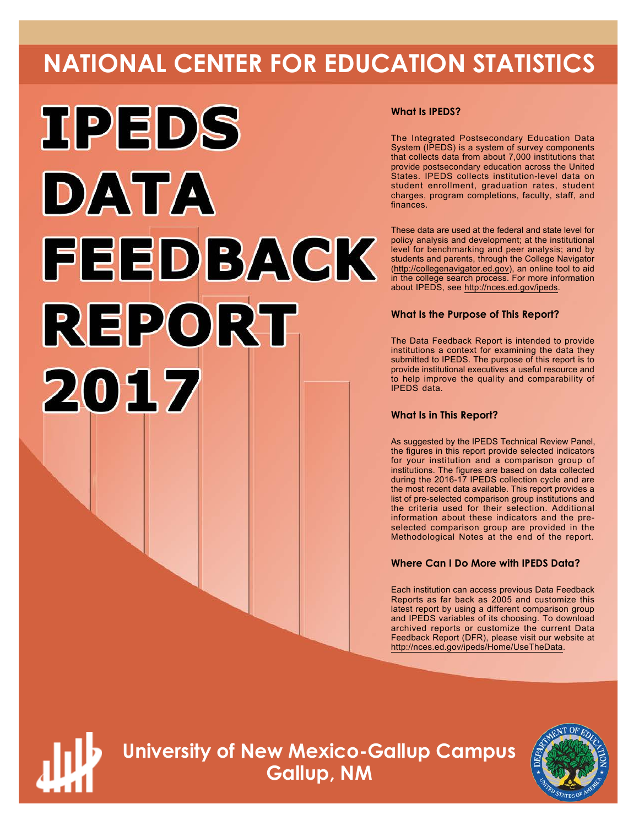# **NATIONAL CENTER FOR EDUCATION STATISTICS**



#### **What Is IPEDS?**

The Integrated Postsecondary Education Data System (IPEDS) is a system of survey components that collects data from about 7,000 institutions that provide postsecondary education across the United States. IPEDS collects institution-level data on student enrollment, graduation rates, student charges, program completions, faculty, staff, and finances.

These data are used at the federal and state level for policy analysis and development; at the institutional level for benchmarking and peer analysis; and by students and parents, through the College Navigator ([http://collegenavigator.ed.gov\)](http://collegenavigator.ed.gov), an online tool to aid in the college search process. For more information about IPEDS, see [http://nces.ed.gov/ipeds.](http://nces.ed.gov/ipeds)

#### **What Is the Purpose of This Report?**

The Data Feedback Report is intended to provide institutions a context for examining the data they submitted to IPEDS. The purpose of this report is to provide institutional executives a useful resource and to help improve the quality and comparability of IPEDS data.

#### **What Is in This Report?**

As suggested by the IPEDS Technical Review Panel, the figures in this report provide selected indicators for your institution and a comparison group of institutions. The figures are based on data collected during the 2016-17 IPEDS collection cycle and are the most recent data available. This report provides a list of pre-selected comparison group institutions and the criteria used for their selection. Additional information about these indicators and the preselected comparison group are provided in the Methodological Notes at the end of the report.

#### **Where Can I Do More with IPEDS Data?**

Each institution can access previous Data Feedback Reports as far back as 2005 and customize this latest report by using a different comparison group and IPEDS variables of its choosing. To download archived reports or customize the current Data Feedback Report (DFR), please visit our website at <http://nces.ed.gov/ipeds/Home/UseTheData>.



**University of New Mexico-Gallup Campus Gallup, NM**

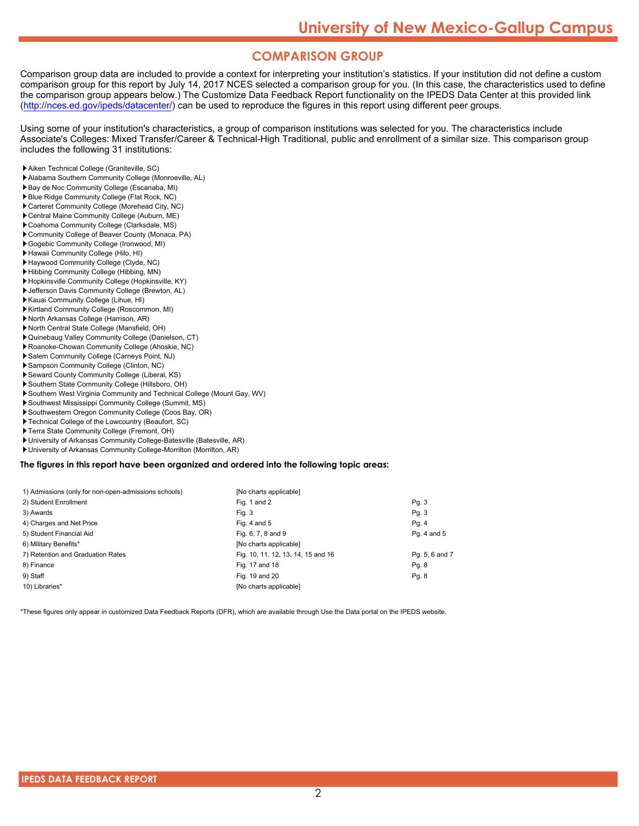### **COMPARISON GROUP**

Comparison group data are included to provide a context for interpreting your institution's statistics. If your institution did not define a custom comparison group for this report by July 14, 2017 NCES selected a comparison group for you. (In this case, the characteristics used to define the comparison group appears below.) The Customize Data Feedback Report functionality on the IPEDS Data Center at this provided link [\(http://nces.ed.gov/ipeds/datacenter/\)](http://nces.ed.gov/ipeds/datacenter/) can be used to reproduce the figures in this report using different peer groups.

Using some of your institution's characteristics, a group of comparison institutions was selected for you. The characteristics include Associate's Colleges: Mixed Transfer/Career & Technical-High Traditional, public and enrollment of a similar size. This comparison group includes the following 31 institutions:

- Aiken Technical College (Graniteville, SC)
- Alabama Southern Community College (Monroeville, AL)
- Bay de Noc Community College (Escanaba, MI)
- Blue Ridge Community College (Flat Rock, NC)
- Carteret Community College (Morehead City, NC) Central Maine Community College (Auburn, ME)
- Coahoma Community College (Clarksdale, MS)
- Community College of Beaver County (Monaca, PA)
- Gogebic Community College (Ironwood, MI)
- Hawaii Community College (Hilo, HI)
- Haywood Community College (Clyde, NC)
- Hibbing Community College (Hibbing, MN)
- Hopkinsville Community College (Hopkinsville, KY)
- Jefferson Davis Community College (Brewton, AL)
- Kauai Community College (Lihue, HI)
- Kirtland Community College (Roscommon, MI)
- North Arkansas College (Harrison, AR)
- North Central State College (Mansfield, OH)
- Quinebaug Valley Community College (Danielson, CT)
- Roanoke-Chowan Community College (Ahoskie, NC)
- Salem Community College (Carneys Point, NJ)
- Sampson Community College (Clinton, NC)
- Seward County Community College (Liberal, KS)
- Southern State Community College (Hillsboro, OH)
- Southern West Virginia Community and Technical College (Mount Gay, WV)
- Southwest Mississippi Community College (Summit, MS)
- Southwestern Oregon Community College (Coos Bay, OR)
- Technical College of the Lowcountry (Beaufort, SC)
- ▶ Terra State Community College (Fremont, OH)
- University of Arkansas Community College-Batesville (Batesville, AR)
- University of Arkansas Community College-Morrilton (Morrilton, AR)

**The figures in this report have been organized and ordered into the following topic areas:**

| 1) Admissions (only for non-open-admissions schools) | [No charts applicable]             |                |
|------------------------------------------------------|------------------------------------|----------------|
| 2) Student Enrollment                                | Fig. 1 and 2                       | Pg. 3          |
| 3) Awards                                            | Fig. 3                             | Pg. 3          |
| 4) Charges and Net Price                             | Fig. 4 and $5$                     | Pg. 4          |
| 5) Student Financial Aid                             | Fig. 6, 7, 8 and 9                 | Pg. 4 and 5    |
| 6) Military Benefits*                                | [No charts applicable]             |                |
| 7) Retention and Graduation Rates                    | Fig. 10, 11, 12, 13, 14, 15 and 16 | Pg. 5, 6 and 7 |
| 8) Finance                                           | Fig. 17 and 18                     | Pg. 8          |
| 9) Staff                                             | Fig. 19 and 20                     | Pg. 8          |
| 10) Libraries*                                       | [No charts applicable]             |                |

\*These figures only appear in customized Data Feedback Reports (DFR), which are available through Use the Data portal on the IPEDS website.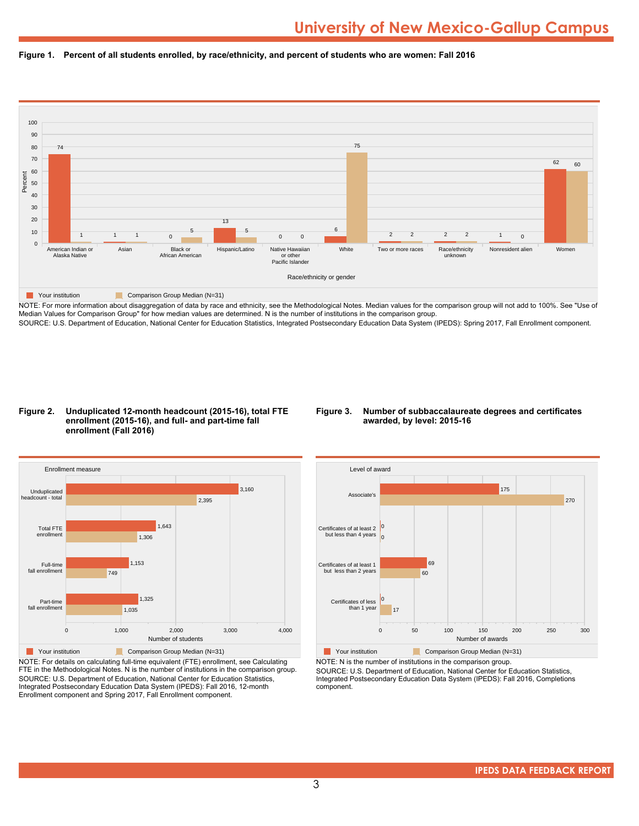



NOTE: For more information about disaggregation of data by race and ethnicity, see the Methodological Notes. Median values for the comparison group will not add to 100%. See "Use of Median Values for Comparison Group" for how median values are determined. N is the number of institutions in the comparison group. SOURCE: U.S. Department of Education, National Center for Education Statistics, Integrated Postsecondary Education Data System (IPEDS): Spring 2017, Fall Enrollment component.

#### **Figure 2. Unduplicated 12-month headcount (2015-16), total FTE enrollment (2015-16), and full- and part-time fall enrollment (Fall 2016)**

#### **Figure 3. Number of subbaccalaureate degrees and certificates awarded, by level: 2015-16**



NOTE: For details on calculating full-time equivalent (FTE) enrollment, see Calculating FTE in the Methodological Notes. N is the number of institutions in the comparison group. SOURCE: U.S. Department of Education, National Center for Education Statistics, Integrated Postsecondary Education Data System (IPEDS): Fall 2016, 12-month Enrollment component and Spring 2017, Fall Enrollment component.



NOTE: N is the number of institutions in the comparison group.

SOURCE: U.S. Department of Education, National Center for Education Statistics, Integrated Postsecondary Education Data System (IPEDS): Fall 2016, Completions component.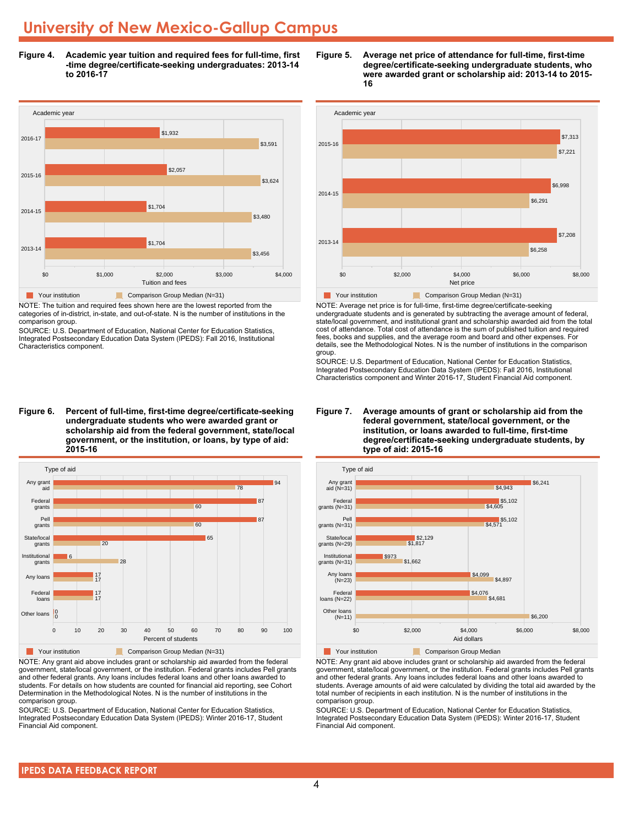**Figure 4. Academic year tuition and required fees for full-time, first -time degree/certificate-seeking undergraduates: 2013-14 to 2016-17**



NOTE: The tuition and required fees shown here are the lowest reported from the categories of in-district, in-state, and out-of-state. N is the number of institutions in the comparison group.

SOURCE: U.S. Department of Education, National Center for Education Statistics, Integrated Postsecondary Education Data System (IPEDS): Fall 2016, Institutional Characteristics component.

**Figure 6. Percent of full-time, first-time degree/certificate-seeking undergraduate students who were awarded grant or scholarship aid from the federal government, state/local government, or the institution, or loans, by type of aid: 2015-16**



NOTE: Any grant aid above includes grant or scholarship aid awarded from the federal government, state/local government, or the institution. Federal grants includes Pell grants and other federal grants. Any loans includes federal loans and other loans awarded to students. For details on how students are counted for financial aid reporting, see Cohort Determination in the Methodological Notes. N is the number of institutions in the comparison group.

SOURCE: U.S. Department of Education, National Center for Education Statistics, Integrated Postsecondary Education Data System (IPEDS): Winter 2016-17, Student Financial Aid component.





NOTE: Average net price is for full-time, first-time degree/certificate-seeking undergraduate students and is generated by subtracting the average amount of federal, state/local government, and institutional grant and scholarship awarded aid from the total cost of attendance. Total cost of attendance is the sum of published tuition and required fees, books and supplies, and the average room and board and other expenses. For details, see the Methodological Notes. N is the number of institutions in the comparison group.

SOURCE: U.S. Department of Education, National Center for Education Statistics, Integrated Postsecondary Education Data System (IPEDS): Fall 2016, Institutional Characteristics component and Winter 2016-17, Student Financial Aid component.





**The Comparison Group Median**<br> **Comparison Group Median** 

NOTE: Any grant aid above includes grant or scholarship aid awarded from the federal government, state/local government, or the institution. Federal grants includes Pell grants and other federal grants. Any loans includes federal loans and other loans awarded to students. Average amounts of aid were calculated by dividing the total aid awarded by the total number of recipients in each institution. N is the number of institutions in the comparison group.

SOURCE: U.S. Department of Education, National Center for Education Statistics, Integrated Postsecondary Education Data System (IPEDS): Winter 2016-17, Student Financial Aid component.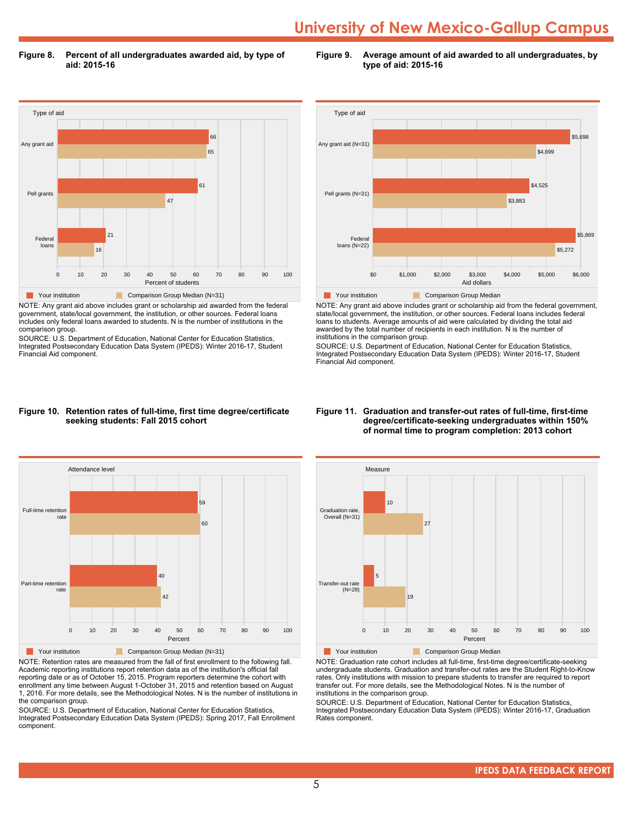**Figure 8. Percent of all undergraduates awarded aid, by type of aid: 2015-16**

**Figure 9. Average amount of aid awarded to all undergraduates, by type of aid: 2015-16**



NOTE: Any grant aid above includes grant or scholarship aid awarded from the federal government, state/local government, the institution, or other sources. Federal loans includes only federal loans awarded to students. N is the number of institutions in the comparison group.

SOURCE: U.S. Department of Education, National Center for Education Statistics, Integrated Postsecondary Education Data System (IPEDS): Winter 2016-17, Student Financial Aid component.



NOTE: Any grant aid above includes grant or scholarship aid from the federal government, state/local government, the institution, or other sources. Federal loans includes federal loans to students. Average amounts of aid were calculated by dividing the total aid awarded by the total number of recipients in each institution. N is the number of institutions in the comparison group.

SOURCE: U.S. Department of Education, National Center for Education Statistics, Integrated Postsecondary Education Data System (IPEDS): Winter 2016-17, Student Financial Aid component.

#### **Figure 10. Retention rates of full-time, first time degree/certificate seeking students: Fall 2015 cohort**



NOTE: Retention rates are measured from the fall of first enrollment to the following fall. Academic reporting institutions report retention data as of the institution's official fall reporting date or as of October 15, 2015. Program reporters determine the cohort with enrollment any time between August 1-October 31, 2015 and retention based on August 1, 2016. For more details, see the Methodological Notes. N is the number of institutions in the comparison group.

SOURCE: U.S. Department of Education, National Center for Education Statistics, Integrated Postsecondary Education Data System (IPEDS): Spring 2017, Fall Enrollment component.

#### **Figure 11. Graduation and transfer-out rates of full-time, first-time degree/certificate-seeking undergraduates within 150% of normal time to program completion: 2013 cohort**



NOTE: Graduation rate cohort includes all full-time, first-time degree/certificate-seeking undergraduate students. Graduation and transfer-out rates are the Student Right-to-Know rates. Only institutions with mission to prepare students to transfer are required to report transfer out. For more details, see the Methodological Notes. N is the number of institutions in the comparison group.

SOURCE: U.S. Department of Education, National Center for Education Statistics, Integrated Postsecondary Education Data System (IPEDS): Winter 2016-17, Graduation Rates component.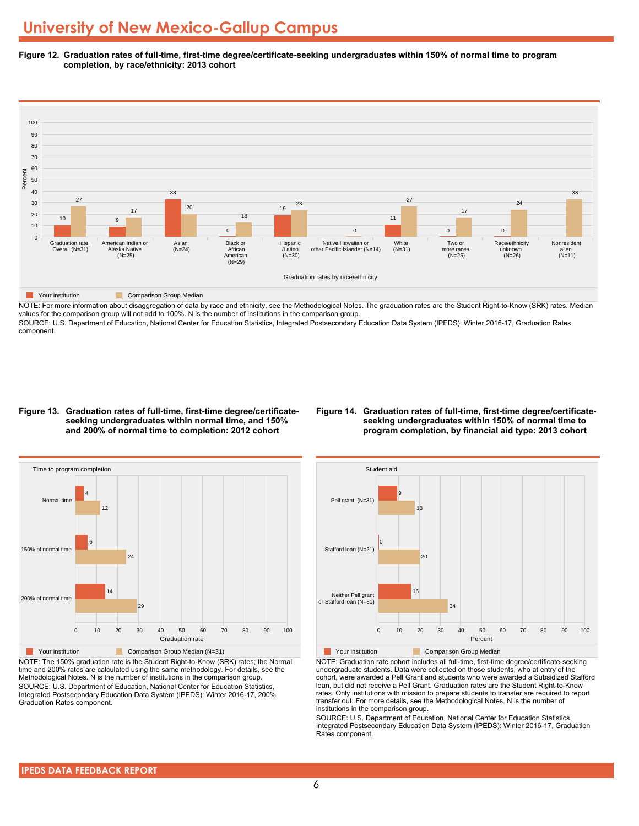**Figure 12. Graduation rates of full-time, first-time degree/certificate-seeking undergraduates within 150% of normal time to program completion, by race/ethnicity: 2013 cohort**



NOTE: For more information about disaggregation of data by race and ethnicity, see the Methodological Notes. The graduation rates are the Student Right-to-Know (SRK) rates. Median values for the comparison group will not add to 100%. N is the number of institutions in the comparison group.

SOURCE: U.S. Department of Education, National Center for Education Statistics, Integrated Postsecondary Education Data System (IPEDS): Winter 2016-17, Graduation Rates component.

#### **Figure 13. Graduation rates of full-time, first-time degree/certificateseeking undergraduates within normal time, and 150% and 200% of normal time to completion: 2012 cohort**

#### **Figure 14. Graduation rates of full-time, first-time degree/certificateseeking undergraduates within 150% of normal time to program completion, by financial aid type: 2013 cohort**



NOTE: The 150% graduation rate is the Student Right-to-Know (SRK) rates; the Normal time and 200% rates are calculated using the same methodology. For details, see the Methodological Notes. N is the number of institutions in the comparison group. SOURCE: U.S. Department of Education, National Center for Education Statistics, Integrated Postsecondary Education Data System (IPEDS): Winter 2016-17, 200% Graduation Rates component.



**The Your institution** Comparison Group Median

NOTE: Graduation rate cohort includes all full-time, first-time degree/certificate-seeking undergraduate students. Data were collected on those students, who at entry of the cohort, were awarded a Pell Grant and students who were awarded a Subsidized Stafford loan, but did not receive a Pell Grant. Graduation rates are the Student Right-to-Know rates. Only institutions with mission to prepare students to transfer are required to report transfer out. For more details, see the Methodological Notes. N is the number of institutions in the comparison group.

SOURCE: U.S. Department of Education, National Center for Education Statistics, Integrated Postsecondary Education Data System (IPEDS): Winter 2016-17, Graduation Rates component.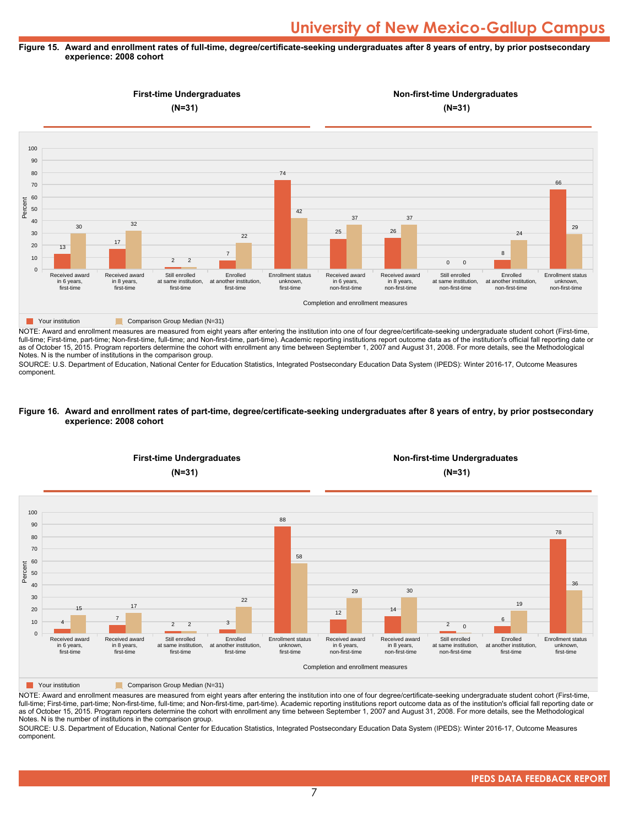#### **Figure 15. Award and enrollment rates of full-time, degree/certificate-seeking undergraduates after 8 years of entry, by prior postsecondary experience: 2008 cohort**



NOTE: Award and enrollment measures are measured from eight years after entering the institution into one of four degree/certificate-seeking undergraduate student cohort (First-time, full-time; First-time, part-time; Non-first-time, full-time; and Non-first-time, part-time). Academic reporting institutions report outcome data as of the institution's official fall reporting date or as of October 15, 2015. Program reporters determine the cohort with enrollment any time between September 1, 2007 and August 31, 2008. For more details, see the Methodological Notes. N is the number of institutions in the comparison group.

SOURCE: U.S. Department of Education, National Center for Education Statistics, Integrated Postsecondary Education Data System (IPEDS): Winter 2016-17, Outcome Measures component.

#### **Figure 16. Award and enrollment rates of part-time, degree/certificate-seeking undergraduates after 8 years of entry, by prior postsecondary experience: 2008 cohort**



NOTE: Award and enrollment measures are measured from eight years after entering the institution into one of four degree/certificate-seeking undergraduate student cohort (First-time, full-time; First-time, part-time; Non-first-time, full-time; and Non-first-time, part-time). Academic reporting institutions report outcome data as of the institution's official fall reporting date or as of October 15, 2015. Program reporters determine the cohort with enrollment any time between September 1, 2007 and August 31, 2008. For more details, see the Methodological Notes. N is the number of institutions in the comparison group.

SOURCE: U.S. Department of Education, National Center for Education Statistics, Integrated Postsecondary Education Data System (IPEDS): Winter 2016-17, Outcome Measures component.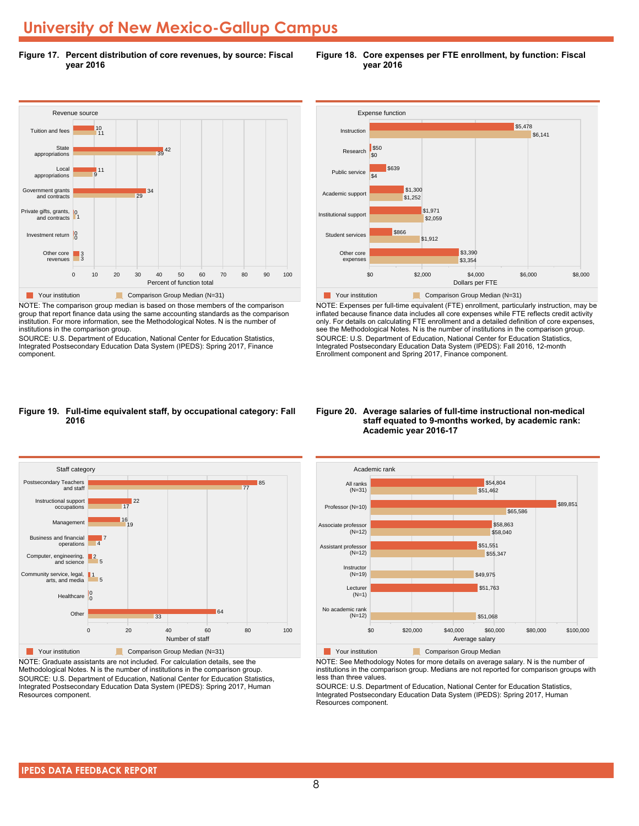**Figure 17. Percent distribution of core revenues, by source: Fiscal year 2016**



NOTE: The comparison group median is based on those members of the comparison group that report finance data using the same accounting standards as the comparison institution. For more information, see the Methodological Notes. N is the number of institutions in the comparison group.

SOURCE: U.S. Department of Education, National Center for Education Statistics, Integrated Postsecondary Education Data System (IPEDS): Spring 2017, Finance component.



NOTE: Expenses per full-time equivalent (FTE) enrollment, particularly instruction, may be inflated because finance data includes all core expenses while FTE reflects credit activity only. For details on calculating FTE enrollment and a detailed definition of core expenses, see the Methodological Notes. N is the number of institutions in the comparison group. SOURCE: U.S. Department of Education, National Center for Education Statistics, Integrated Postsecondary Education Data System (IPEDS): Fall 2016, 12-month Enrollment component and Spring 2017, Finance component.

#### **Figure 19. Full-time equivalent staff, by occupational category: Fall 2016**



NOTE: Graduate assistants are not included. For calculation details, see the Methodological Notes. N is the number of institutions in the comparison group. SOURCE: U.S. Department of Education, National Center for Education Statistics, Integrated Postsecondary Education Data System (IPEDS): Spring 2017, Human Resources component.

#### **Figure 20. Average salaries of full-time instructional non-medical staff equated to 9-months worked, by academic rank: Academic year 2016-17**



NOTE: See Methodology Notes for more details on average salary. N is the number of institutions in the comparison group. Medians are not reported for comparison groups with less than three values.

SOURCE: U.S. Department of Education, National Center for Education Statistics, Integrated Postsecondary Education Data System (IPEDS): Spring 2017, Human Resources component.

#### **Figure 18. Core expenses per FTE enrollment, by function: Fiscal year 2016**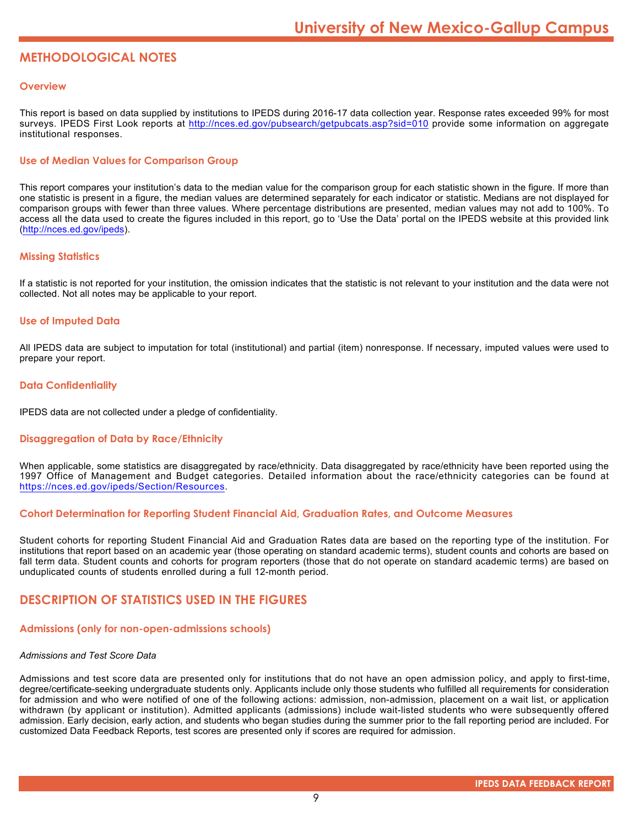### **METHODOLOGICAL NOTES**

#### **Overview**

This report is based on data supplied by institutions to IPEDS during 2016-17 data collection year. Response rates exceeded 99% for most surveys. IPEDS First Look reports at <http://nces.ed.gov/pubsearch/getpubcats.asp?sid=010> provide some information on aggregate institutional responses.

#### **Use of Median Values for Comparison Group**

This report compares your institution's data to the median value for the comparison group for each statistic shown in the figure. If more than one statistic is present in a figure, the median values are determined separately for each indicator or statistic. Medians are not displayed for comparison groups with fewer than three values. Where percentage distributions are presented, median values may not add to 100%. To access all the data used to create the figures included in this report, go to 'Use the Data' portal on the IPEDS website at this provided link (<http://nces.ed.gov/ipeds>).

#### **Missing Statistics**

If a statistic is not reported for your institution, the omission indicates that the statistic is not relevant to your institution and the data were not collected. Not all notes may be applicable to your report.

#### **Use of Imputed Data**

All IPEDS data are subject to imputation for total (institutional) and partial (item) nonresponse. If necessary, imputed values were used to prepare your report.

#### **Data Confidentiality**

IPEDS data are not collected under a pledge of confidentiality.

#### **Disaggregation of Data by Race/Ethnicity**

When applicable, some statistics are disaggregated by race/ethnicity. Data disaggregated by race/ethnicity have been reported using the 1997 Office of Management and Budget categories. Detailed information about the race/ethnicity categories can be found at <https://nces.ed.gov/ipeds/Section/Resources>.

#### **Cohort Determination for Reporting Student Financial Aid, Graduation Rates, and Outcome Measures**

Student cohorts for reporting Student Financial Aid and Graduation Rates data are based on the reporting type of the institution. For institutions that report based on an academic year (those operating on standard academic terms), student counts and cohorts are based on fall term data. Student counts and cohorts for program reporters (those that do not operate on standard academic terms) are based on unduplicated counts of students enrolled during a full 12-month period.

#### **DESCRIPTION OF STATISTICS USED IN THE FIGURES**

#### **Admissions (only for non-open-admissions schools)**

#### *Admissions and Test Score Data*

Admissions and test score data are presented only for institutions that do not have an open admission policy, and apply to first-time, degree/certificate-seeking undergraduate students only. Applicants include only those students who fulfilled all requirements for consideration for admission and who were notified of one of the following actions: admission, non-admission, placement on a wait list, or application withdrawn (by applicant or institution). Admitted applicants (admissions) include wait-listed students who were subsequently offered admission. Early decision, early action, and students who began studies during the summer prior to the fall reporting period are included. For customized Data Feedback Reports, test scores are presented only if scores are required for admission.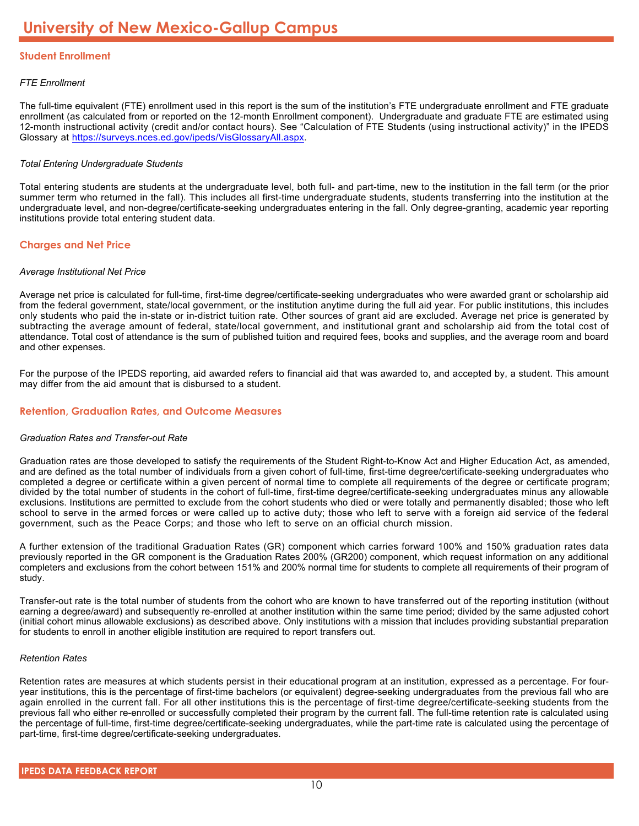#### **Student Enrollment**

#### *FTE Enrollment*

The full-time equivalent (FTE) enrollment used in this report is the sum of the institution's FTE undergraduate enrollment and FTE graduate enrollment (as calculated from or reported on the 12-month Enrollment component). Undergraduate and graduate FTE are estimated using 12-month instructional activity (credit and/or contact hours). See "Calculation of FTE Students (using instructional activity)" in the IPEDS Glossary at <https://surveys.nces.ed.gov/ipeds/VisGlossaryAll.aspx>.

#### *Total Entering Undergraduate Students*

Total entering students are students at the undergraduate level, both full- and part-time, new to the institution in the fall term (or the prior summer term who returned in the fall). This includes all first-time undergraduate students, students transferring into the institution at the undergraduate level, and non-degree/certificate-seeking undergraduates entering in the fall. Only degree-granting, academic year reporting institutions provide total entering student data.

#### **Charges and Net Price**

#### *Average Institutional Net Price*

Average net price is calculated for full-time, first-time degree/certificate-seeking undergraduates who were awarded grant or scholarship aid from the federal government, state/local government, or the institution anytime during the full aid year. For public institutions, this includes only students who paid the in-state or in-district tuition rate. Other sources of grant aid are excluded. Average net price is generated by subtracting the average amount of federal, state/local government, and institutional grant and scholarship aid from the total cost of attendance. Total cost of attendance is the sum of published tuition and required fees, books and supplies, and the average room and board and other expenses.

For the purpose of the IPEDS reporting, aid awarded refers to financial aid that was awarded to, and accepted by, a student. This amount may differ from the aid amount that is disbursed to a student.

#### **Retention, Graduation Rates, and Outcome Measures**

#### *Graduation Rates and Transfer-out Rate*

Graduation rates are those developed to satisfy the requirements of the Student Right-to-Know Act and Higher Education Act, as amended, and are defined as the total number of individuals from a given cohort of full-time, first-time degree/certificate-seeking undergraduates who completed a degree or certificate within a given percent of normal time to complete all requirements of the degree or certificate program; divided by the total number of students in the cohort of full-time, first-time degree/certificate-seeking undergraduates minus any allowable exclusions. Institutions are permitted to exclude from the cohort students who died or were totally and permanently disabled; those who left school to serve in the armed forces or were called up to active duty; those who left to serve with a foreign aid service of the federal government, such as the Peace Corps; and those who left to serve on an official church mission.

A further extension of the traditional Graduation Rates (GR) component which carries forward 100% and 150% graduation rates data previously reported in the GR component is the Graduation Rates 200% (GR200) component, which request information on any additional completers and exclusions from the cohort between 151% and 200% normal time for students to complete all requirements of their program of study.

Transfer-out rate is the total number of students from the cohort who are known to have transferred out of the reporting institution (without earning a degree/award) and subsequently re-enrolled at another institution within the same time period; divided by the same adjusted cohort (initial cohort minus allowable exclusions) as described above. Only institutions with a mission that includes providing substantial preparation for students to enroll in another eligible institution are required to report transfers out.

#### *Retention Rates*

Retention rates are measures at which students persist in their educational program at an institution, expressed as a percentage. For fouryear institutions, this is the percentage of first-time bachelors (or equivalent) degree-seeking undergraduates from the previous fall who are again enrolled in the current fall. For all other institutions this is the percentage of first-time degree/certificate-seeking students from the previous fall who either re-enrolled or successfully completed their program by the current fall. The full-time retention rate is calculated using the percentage of full-time, first-time degree/certificate-seeking undergraduates, while the part-time rate is calculated using the percentage of part-time, first-time degree/certificate-seeking undergraduates.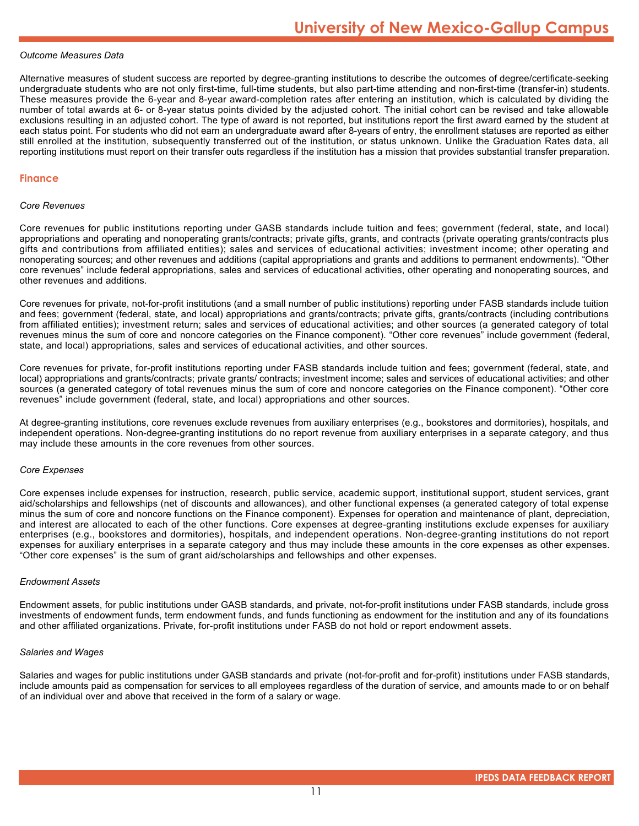#### *Outcome Measures Data*

Alternative measures of student success are reported by degree-granting institutions to describe the outcomes of degree/certificate-seeking undergraduate students who are not only first-time, full-time students, but also part-time attending and non-first-time (transfer-in) students. These measures provide the 6-year and 8-year award-completion rates after entering an institution, which is calculated by dividing the number of total awards at 6- or 8-year status points divided by the adjusted cohort. The initial cohort can be revised and take allowable exclusions resulting in an adjusted cohort. The type of award is not reported, but institutions report the first award earned by the student at each status point. For students who did not earn an undergraduate award after 8-years of entry, the enrollment statuses are reported as either still enrolled at the institution, subsequently transferred out of the institution, or status unknown. Unlike the Graduation Rates data, all reporting institutions must report on their transfer outs regardless if the institution has a mission that provides substantial transfer preparation.

#### **Finance**

#### *Core Revenues*

Core revenues for public institutions reporting under GASB standards include tuition and fees; government (federal, state, and local) appropriations and operating and nonoperating grants/contracts; private gifts, grants, and contracts (private operating grants/contracts plus gifts and contributions from affiliated entities); sales and services of educational activities; investment income; other operating and nonoperating sources; and other revenues and additions (capital appropriations and grants and additions to permanent endowments). "Other core revenues" include federal appropriations, sales and services of educational activities, other operating and nonoperating sources, and other revenues and additions.

Core revenues for private, not-for-profit institutions (and a small number of public institutions) reporting under FASB standards include tuition and fees; government (federal, state, and local) appropriations and grants/contracts; private gifts, grants/contracts (including contributions from affiliated entities); investment return; sales and services of educational activities; and other sources (a generated category of total revenues minus the sum of core and noncore categories on the Finance component). "Other core revenues" include government (federal, state, and local) appropriations, sales and services of educational activities, and other sources.

Core revenues for private, for-profit institutions reporting under FASB standards include tuition and fees; government (federal, state, and local) appropriations and grants/contracts; private grants/ contracts; investment income; sales and services of educational activities; and other sources (a generated category of total revenues minus the sum of core and noncore categories on the Finance component). "Other core revenues" include government (federal, state, and local) appropriations and other sources.

At degree-granting institutions, core revenues exclude revenues from auxiliary enterprises (e.g., bookstores and dormitories), hospitals, and independent operations. Non-degree-granting institutions do no report revenue from auxiliary enterprises in a separate category, and thus may include these amounts in the core revenues from other sources.

#### *Core Expenses*

Core expenses include expenses for instruction, research, public service, academic support, institutional support, student services, grant aid/scholarships and fellowships (net of discounts and allowances), and other functional expenses (a generated category of total expense minus the sum of core and noncore functions on the Finance component). Expenses for operation and maintenance of plant, depreciation, and interest are allocated to each of the other functions. Core expenses at degree-granting institutions exclude expenses for auxiliary enterprises (e.g., bookstores and dormitories), hospitals, and independent operations. Non-degree-granting institutions do not report expenses for auxiliary enterprises in a separate category and thus may include these amounts in the core expenses as other expenses. "Other core expenses" is the sum of grant aid/scholarships and fellowships and other expenses.

#### *Endowment Assets*

Endowment assets, for public institutions under GASB standards, and private, not-for-profit institutions under FASB standards, include gross investments of endowment funds, term endowment funds, and funds functioning as endowment for the institution and any of its foundations and other affiliated organizations. Private, for-profit institutions under FASB do not hold or report endowment assets.

#### *Salaries and Wages*

Salaries and wages for public institutions under GASB standards and private (not-for-profit and for-profit) institutions under FASB standards, include amounts paid as compensation for services to all employees regardless of the duration of service, and amounts made to or on behalf of an individual over and above that received in the form of a salary or wage.